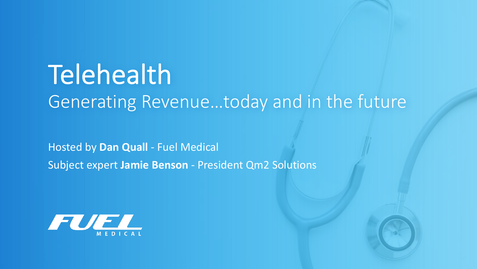# **Telehealth** Generating Revenue…today and in the future

Hosted by **Dan Quall** - Fuel Medical Subject expert **Jamie Benson** - President Qm2 Solutions

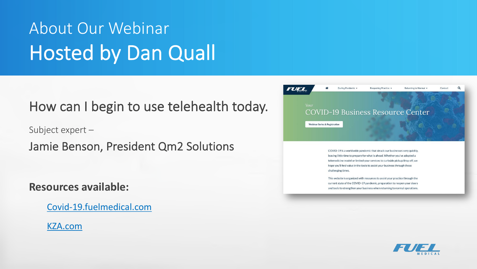### About Our Webinar Hosted by Dan Quall

#### How can I begin to use telehealth today.

Subject expert –

Jamie Benson, President Qm2 Solutions

#### **Resources available:**

[Covid-19.fuelmedical.com](https://fuelmedical.com/)

[KZA.com](https://www.karenzupko.com/)



COVID-19 is a worldwide pandemic that struck our businesses very quickly. leaving little time to prepare for what is ahead. Whether you've adopted a telemedicine model or limited your services to curbside pickup/drop off, we hope you'll find value in the tools to assist your business through these challenging times.

This website is organized with resources to assist your practice through the current state of the COVID-19 pandemic, preparation to reopen your doors and tools to strengthen your business when returning to normal operations.

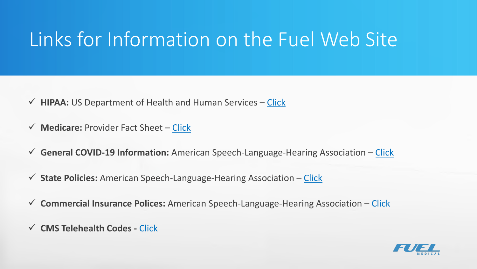### Links for Information on the Fuel Web Site

- **► HIPAA:** US Department of Health and Human Services [Click](https://www.hhs.gov/hipaa/for-professionals/special-topics/emergency-preparedness/notification-enforcement-discretion-telehealth/index.html)
- ü **Medicare:** Provider Fact Sheet [Click](https://www.cms.gov/newsroom/fact-sheets/medicare-telemedicine-health-care-provider-fact-sheet)
- ü **General COVID-19 Information:** American Speech-Language-Hearing Association [Click](https://www.asha.org/About/Coronavirus-Updates/)
- ü **State Policies:** American Speech-Language-Hearing Association [Click](https://www.asha.org/uploadedFiles/State-Telepractice-Policy-COVID-Tracking.pdf)
- ü **Commercial Insurance Polices:** American Speech-Language-Hearing Association [Click](https://www.asha.org/uploadedFiles/COVID-19-Commercial-Insurance-Telepractice-Policy-Tracking.pdf)
- ü **CMS Telehealth Codes -** [Click](https://www.cms.gov/Medicare/Medicare-General-Information/Telehealth/Telehealth-Codes)

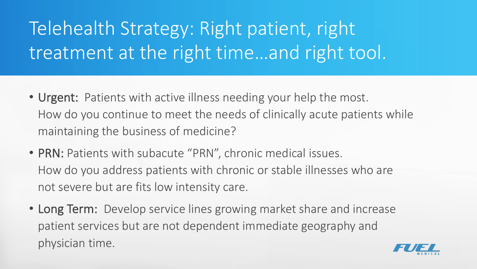### Telehealth Strategy: Right patient, right treatment at the right time…and right tool.

- Urgent: Patients with active illness needing your help the most. How do you continue to meet the needs of clinically acute patients while maintaining the business of medicine?
- PRN: Patients with subacute "PRN", chronic medical issues. How do you address patients with chronic or stable illnesses who are not severe but are fits low intensity care.
- Long Term: Develop service lines growing market share and increase patient services but are not dependent immediate geography and physician time.

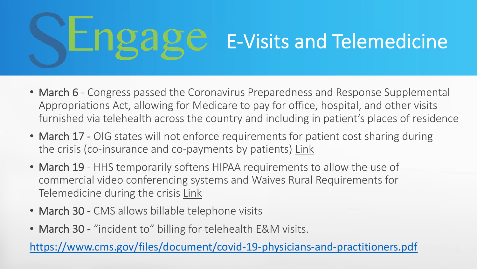### E-Visits and Telemedicine

- March 6 Congress passed the Coronavirus Preparedness and Response Supplemental Appropriations Act, allowing for Medicare to pay for office, hospital, and other visits furnished via telehealth across the country and including in patient's places of residence
- March 17 OIG states will not enforce requirements for patient cost sharing during the crisis (co-insurance and co-payments by patients) [Link](https://www.oig.hhs.gov/fraud/docs/alertsandbulletins/2020/factsheet-telehealth-2020.pdf)
- March 19 HHS temporarily softens HIPAA requirements to allow the use of commercial video conferencing systems and Waives Rural Requirements for Telemedicine during the crisis [Link](https://www.hhs.gov/hipaa/for-professionals/special-topics/emergency-preparedness/notification-enforcement-discretion-telehealth/index.html)
- March 30 CMS allows billable telephone visits
- March 30 "incident to" billing for telehealth E&M visits.

<https://www.cms.gov/files/document/covid-19-physicians-and-practitioners.pdf>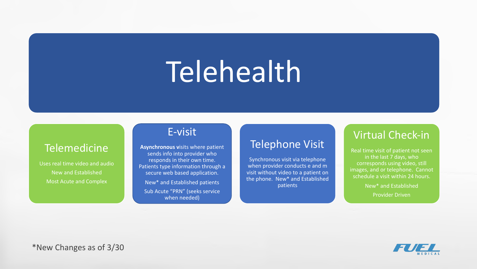# Telehealth

#### **Telemedicine**

Uses real time video and audio New and Established Most Acute and Complex

#### E-visit

**Asynchronous v**isits where patient sends info into provider who responds in their own time. Patients type information through a secure web based application.

New\* and Established patients Sub Acute "PRN" (seeks service when needed)

#### Telephone Visit

Synchronous visit via telephone when provider conducts e and m visit without video to a patient on the phone. New\* and Established patients

#### Virtual Check-in

Real time visit of patient not seen in the last 7 days, who corresponds using video, still images, and or telephone. Cannot schedule a visit within 24 hours.

> New\* and Established Provider Driven

\*New Changes as of 3/30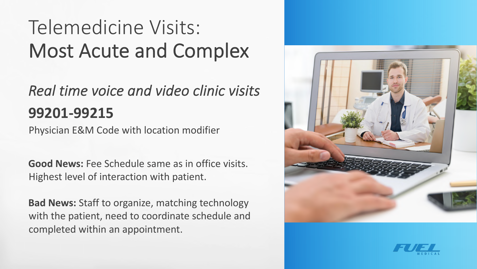### Telemedicine Visits: Most Acute and Complex

#### *Real time voice and video clinic visits* **99201-99215**

Physician E&M Code with location modifier

**Good News:** Fee Schedule same as in office visits. Highest level of interaction with patient.

**Bad News:** Staff to organize, matching technology with the patient, need to coordinate schedule and completed within an appointment.



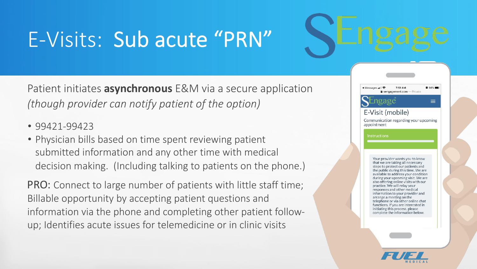## E-Visits: Sub acute "PRN"

Patient initiates **asynchronous** E&M via a secure application *(though provider can notify patient of the option)*

- 99421-99423
- Physician bills based on time spent reviewing patient submitted information and any other time with medical decision making. (Including talking to patients on the phone.)

PRO: Connect to large number of patients with little staff time; Billable opportunity by accepting patient questions and information via the phone and completing other patient followup; Identifies acute issues for telemedicine or in clinic visits



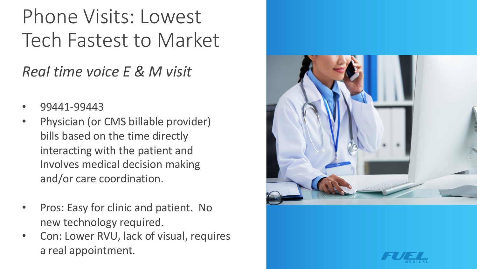### Phone Visits: Lowest Tech Fastest to Market

#### *Real time voice E & M visit*

- 99441-99443
- Physician (or CMS billable provider) bills based on the time directly interacting with the patient and Involves medical decision making and/or care coordination.
- Pros: Easy for clinic and patient. No new technology required.
- Con: Lower RVU, lack of visual, requires a real appointment.



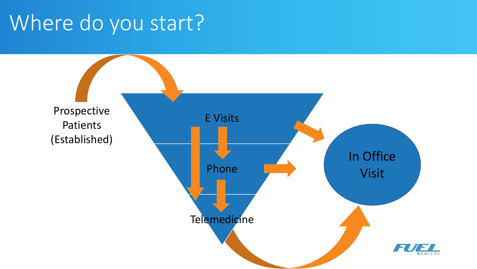### Where do you start?

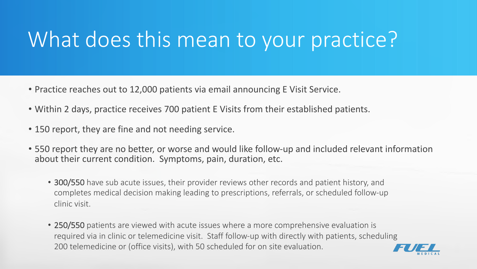### What does this mean to your practice?

- Practice reaches out to 12,000 patients via email announcing E Visit Service.
- Within 2 days, practice receives 700 patient E Visits from their established patients.
- 150 report, they are fine and not needing service.
- 550 report they are no better, or worse and would like follow-up and included relevant information about their current condition. Symptoms, pain, duration, etc.
	- 300/550 have sub acute issues, their provider reviews other records and patient history, and completes medical decision making leading to prescriptions, referrals, or scheduled follow-up clinic visit.
	- 250/550 patients are viewed with acute issues where a more comprehensive evaluation is required via in clinic or telemedicine visit. Staff follow-up with directly with patients, scheduling 200 telemedicine or (office visits), with 50 scheduled for on site evaluation.

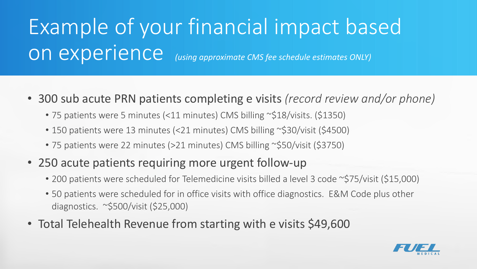# Example of your financial impact based on experience *(using approximate CMS fee schedule estimates ONLY)*

- 300 sub acute PRN patients completing e visits *(record review and/or phone)*
	- 75 patients were 5 minutes (<11 minutes) CMS billing ~\$18/visits. (\$1350)
	- 150 patients were 13 minutes (<21 minutes) CMS billing ~\$30/visit (\$4500)
	- 75 patients were 22 minutes (>21 minutes) CMS billing ~\$50/visit (\$3750)
- 250 acute patients requiring more urgent follow-up
	- 200 patients were scheduled for Telemedicine visits billed a level 3 code ~\$75/visit (\$15,000)
	- 50 patients were scheduled for in office visits with office diagnostics. E&M Code plus other diagnostics. ~\$500/visit (\$25,000)
- Total Telehealth Revenue from starting with e visits \$49,600

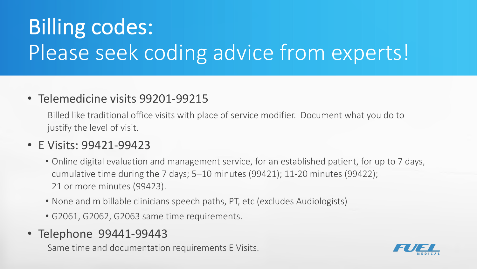# Billing codes: Please seek coding advice from experts!

#### • Telemedicine visits 99201-99215

Billed like traditional office visits with place of service modifier. Document what you do to justify the level of visit.

#### • E Visits: 99421-99423

- Online digital evaluation and management service, for an established patient, for up to 7 days, cumulative time during the 7 days; 5–10 minutes (99421); 11-20 minutes (99422); 21 or more minutes (99423).
- None and m billable clinicians speech paths, PT, etc (excludes Audiologists)
- G2061, G2062, G2063 same time requirements.
- Telephone 99441-99443

Same time and documentation requirements E Visits.

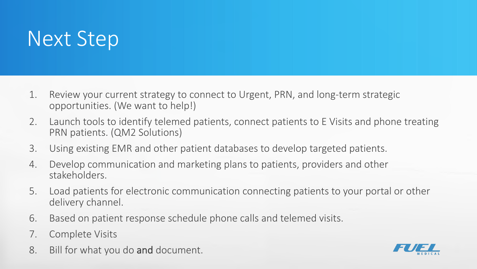### Next Step

- 1. Review your current strategy to connect to Urgent, PRN, and long-term strategic opportunities. (We want to help!)
- 2. Launch tools to identify telemed patients, connect patients to E Visits and phone treating PRN patients. (QM2 Solutions)
- 3. Using existing EMR and other patient databases to develop targeted patients.
- 4. Develop communication and marketing plans to patients, providers and other stakeholders.
- 5. Load patients for electronic communication connecting patients to your portal or other delivery channel.
- 6. Based on patient response schedule phone calls and telemed visits.
- 7. Complete Visits
- 8. Bill for what you do and document.

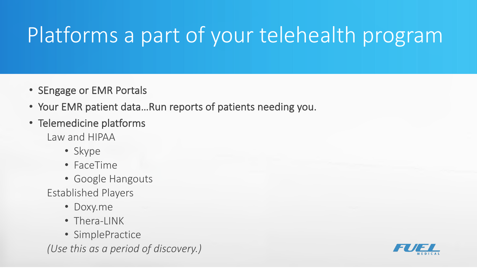# Platforms a part of your telehealth program

- SEngage or EMR Portals
- Your EMR patient data…Run reports of patients needing you.
- Telemedicine platforms
	- Law and HIPAA
		- Skype
		- FaceTime
		- Google Hangouts
	- Established Players
		- Doxy.me
		- Thera-LINK
		- SimplePractice

*(Use this as a period of discovery.)*

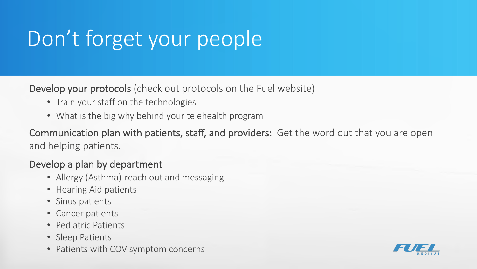# Don't forget your people

Develop your protocols (check out protocols on the Fuel website)

- Train your staff on the technologies
- What is the big why behind your telehealth program

Communication plan with patients, staff, and providers: Get the word out that you are open and helping patients.

#### Develop a plan by department

- Allergy (Asthma)-reach out and messaging
- Hearing Aid patients
- Sinus patients
- Cancer patients
- Pediatric Patients
- Sleep Patients
- Patients with COV symptom concerns

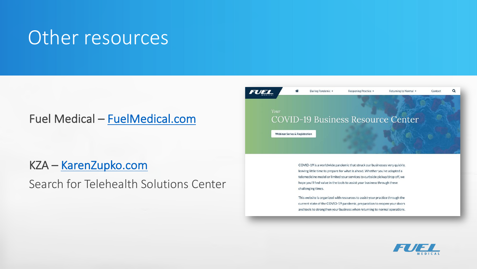#### Other resources

#### Fuel Medical – [FuelMedical.com](https://fuelmedical.com/)

KZA – [KarenZupko.com](https://www.karenzupko.com/)

Search for Telehealth Solutions Center



COVID-19 is a worldwide pandemic that struck our businesses very quickly, leaving little time to prepare for what is ahead. Whether you've adopted a telemedicine model or limited your services to curbside pickup/drop off, we hope you'll find value in the tools to assist your business through these challenging times.

This website is organized with resources to assist your practice through the current state of the COVID-19 pandemic, preparation to reopen your doors and tools to strengthen your business when returning to normal operations.

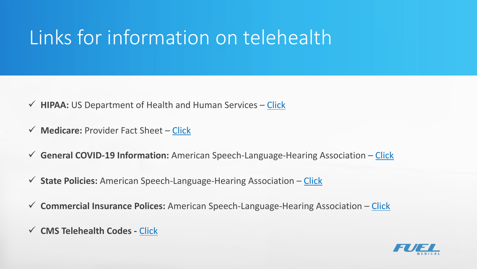### Links for information on telehealth

- **► HIPAA:** US Department of Health and Human Services [Click](https://www.hhs.gov/hipaa/for-professionals/special-topics/emergency-preparedness/notification-enforcement-discretion-telehealth/index.html)
- ü **Medicare:** Provider Fact Sheet [Click](https://www.cms.gov/newsroom/fact-sheets/medicare-telemedicine-health-care-provider-fact-sheet)
- ü **General COVID-19 Information:** American Speech-Language-Hearing Association [Click](https://www.asha.org/About/Coronavirus-Updates/)
- ü **State Policies:** American Speech-Language-Hearing Association [Click](https://www.asha.org/uploadedFiles/State-Telepractice-Policy-COVID-Tracking.pdf)
- ü **Commercial Insurance Polices:** American Speech-Language-Hearing Association [Click](https://www.asha.org/uploadedFiles/COVID-19-Commercial-Insurance-Telepractice-Policy-Tracking.pdf)
- ü **CMS Telehealth Codes -** [Click](https://www.cms.gov/Medicare/Medicare-General-Information/Telehealth/Telehealth-Codes)